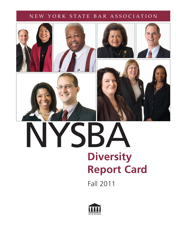## NEW YORK STATE BAR ASSOCIATION









# **Diversity Report Card** NYSBA

Fall 2011

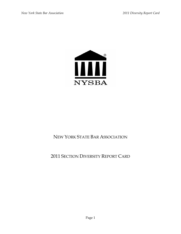

## NEW YORK STATE BAR ASSOCIATION

## 2011 SECTION DIVERSITY REPORT CARD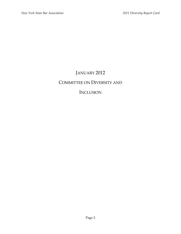## JANUARY 2012 COMMITTEE ON DIVERSITY AND

## **INCLUSION**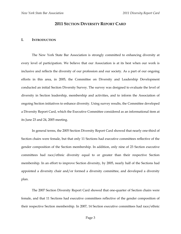#### **2011 SECTION DIVERSITY REPORT CARD**

#### **I. INTRODUCTION**

The New York State Bar Association is strongly committed to enhancing diversity at every level of participation. We believe that our Association is at its best when our work is inclusive and reflects the diversity of our profession and our society. As a part of our ongoing efforts in this area, in 2005, the Committee on Diversity and Leadership Development conducted an initial Section Diversity Survey. The survey was designed to evaluate the level of diversity in Section leadership, membership and activities, and to inform the Association of ongoing Section initiatives to enhance diversity. Using survey results, the Committee developed a Diversity Report Card, which the Executive Committee considered as an informational item at its June 23 and 24, 2005 meeting.

In general terms, the 2005 Section Diversity Report Card showed that nearly one-third of Section chairs were female, but that only 11 Sections had executive committees reflective of the gender composition of the Section membership. In addition, only nine of 23 Section executive committees had race/ethnic diversity equal to or greater than their respective Section membership. In an effort to improve Section diversity, by 2005, nearly half of the Sections had appointed a diversity chair and/or formed a diversity committee, and developed a diversity plan.

The 2007 Section Diversity Report Card showed that one-quarter of Section chairs were female, and that 11 Sections had executive committees reflective of the gender composition of their respective Section membership. In 2007, 14 Section executive committees had race/ethnic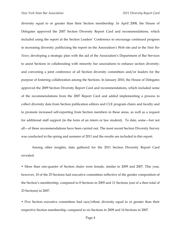diversity equal to or greater than their Section membership. In April 2008, the House of Delegates approved the 2007 Section Diversity Report Card and recommendations, which included using the report at the Section Leaders' Conference to encourage continued progress in increasing diversity; publicizing the report on the Association's Web site and in the *State Bar News*; developing a strategic plan with the aid of the Association's Department of Bar Services to assist Sections in collaborating with minority bar associations to enhance section diversity; and convening a joint conference of all Section diversity committees and/or leaders for the purpose of fostering collaboration among the Sections. In January 2010, the House of Delegates approved the 2009 Section Diversity Report Card and recommendations, which included some of the recommendations from the 2007 Report Card and added implementing a process to collect diversity data from Section publication editors and CLE program chairs and faculty and to promote increased self-reporting from Section members in these areas, as well as a request for additional staff support (in the form of an intern or law student). To date, some—but not all—of these recommendations have been carried out. The most recent Section Diversity Survey was conducted in the spring and summer of 2011 and the results are included in this report.

Among other insights, data gathered for the 2011 Section Diversity Report Card revealed:

• More than one-quarter of Section chairs were female, similar to 2009 and 2007. This year, however, 10 of the 25 Sections had executive committees reflective of the gender composition of the Section's membership, compared to 8 Sections in 2009 and 11 Sections (out of a then total of 23 Sections) in 2007.

• Five Section executive committees had race/ethnic diversity equal to or greater than their respective Section membership, compared to six Sections in 2009 and 14 Sections in 2007.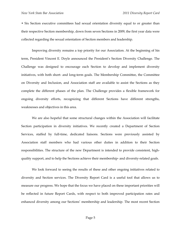• Six Section executive committees had sexual orientation diversity equal to or greater than their respective Section membership, down from seven Sections in 2009, the first year data were collected regarding the sexual orientation of Section members and leadership.

Improving diversity remains a top priority for our Association. At the beginning of his term, President Vincent E. Doyle announced the President's Section Diversity Challenge. The Challenge was designed to encourage each Section to develop and implement diversity initiatives, with both short- and long-term goals. The Membership Committee, the Committee on Diversity and Inclusion, and Association staff are available to assist the Sections as they complete the different phases of the plan. The Challenge provides a flexible framework for ongoing diversity efforts, recognizing that different Sections have different strengths, weaknesses and objectives in this area.

We are also hopeful that some structural changes within the Association will facilitate Section participation in diversity initiatives. We recently created a Department of Section Services, staffed by full-time, dedicated liaisons. Sections were previously assisted by Association staff members who had various other duties in addition to their Section responsibilities. The structure of the new Department is intended to provide consistent, highquality support, and to help the Sections achieve their membership- and diversity-related goals.

We look forward to seeing the results of these and other ongoing initiatives related to diversity and Section services. The Diversity Report Card is a useful tool that allows us to measure our progress. We hope that the focus we have placed on these important priorities will be reflected in future Report Cards, with respect to both improved participation rates and enhanced diversity among our Sections' membership and leadership. The most recent Section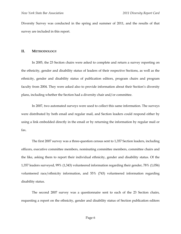Diversity Survey was conducted in the spring and summer of 2011, and the results of that survey are included in this report.

#### **II. METHODOLOGY**

 In 2005, the 23 Section chairs were asked to complete and return a survey reporting on the ethnicity, gender and disability status of leaders of their respective Sections, as well as the ethnicity, gender and disability status of publication editors, program chairs and program faculty from 2004. They were asked also to provide information about their Section's diversity plans, including whether the Section had a diversity chair and/or committee.

 In 2007, two automated surveys were used to collect this same information. The surveys were distributed by both email and regular mail, and Section leaders could respond either by using a link embedded directly in the email or by returning the information by regular mail or fax.

The first 2007 survey was a three-question census sent to 1,357 Section leaders, including officers, executive committee members, nominating committee members, committee chairs and the like, asking them to report their individual ethnicity, gender and disability status. Of the 1,357 leaders surveyed, 99% (1,343) volunteered information regarding their gender, 78% (1,056) volunteered race/ethnicity information, and 55% (743) volunteered information regarding disability status.

The second 2007 survey was a questionnaire sent to each of the 23 Section chairs, requesting a report on the ethnicity, gender and disability status of Section publication editors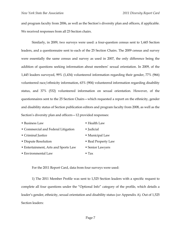and program faculty from 2006, as well as the Section's diversity plan and officers, if applicable. We received responses from all 23 Section chairs.

Similarly, in 2009, two surveys were used: a four-question census sent to 1,445 Section leaders, and a questionnaire sent to each of the 25 Section Chairs. The 2009 census and survey were essentially the same census and survey as used in 2007, the only difference being the addition of questions seeking information about members' sexual orientation. In 2009, of the 1,445 leaders surveyed, 99% (1,434) volunteered information regarding their gender, 77% (966) volunteered race/ethnicity information, 63% (904) volunteered information regarding disability status, and 37% (532) volunteered information on sexual orientation. However, of the questionnaires sent to the 25 Section Chairs—which requested a report on the ethnicity, gender and disability status of Section publication editors and program faculty from 2008, as well as the Section's diversity plan and officers—12 provided responses:

| • Business Law                       | • Health Law        |
|--------------------------------------|---------------------|
| • Commercial and Federal Litigation  | • Judicial          |
| • Criminal Justice                   | • Municipal Law     |
| • Dispute Resolution                 | • Real Property Law |
| • Entertainment, Arts and Sports Law | • Senior Lawyers    |
| • Environmental Law                  | $\bullet$ Tax       |

For the 2011 Report Card, data from four surveys were used:

1) The 2011 Member Profile was sent to 1,525 Section leaders with a specific request to complete all four questions under the "Optional Info" category of the profile, which details a leader's gender, ethnicity, sexual orientation and disability status (*see* Appendix A). Out of 1,525 Section leaders: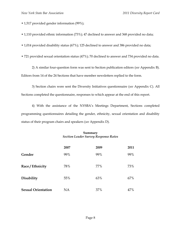- 1,517 provided gender information (99%);
- 1,110 provided ethnic information (73%); 47 declined to answer and 368 provided no data;
- 1,014 provided disability status (67%); 125 declined to answer and 386 provided no data;
- 721 provided sexual orientation status (47%); 70 declined to answer and 734 provided no data.

2) A similar four-question form was sent to Section publication editors (*see* Appendix B). Editors from 14 of the 24 Sections that have member newsletters replied to the form.

3) Section chairs were sent the Diversity Initiatives questionnaire (*see* Appendix C). All Sections completed the questionnaire, responses to which appear at the end of this report.

4) With the assistance of the NYSBA's Meetings Department, Sections completed programming questionnaires detailing the gender, ethnicity, sexual orientation and disability status of their program chairs and speakers (*see* Appendix D).

#### **Summary**  *Section Leader Survey Response Rates*

|                           | 2007 | 2009 | 2011 |
|---------------------------|------|------|------|
| Gender                    | 99%  | 99%  | 99%  |
| Race / Ethnicity          | 78%  | 77%  | 73%  |
| Disability                | 55%  | 63%  | 67%  |
| <b>Sexual Orientation</b> | NA   | 37%  | 47%  |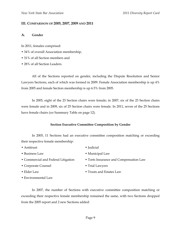#### **III. COMPARISON OF 2005, 2007, 2009 AND 2011**

#### **A. Gender**

In 2011, females comprised:

- 34% of overall Association membership,
- 31% of all Section members and
- 28% of all Section Leaders.

All of the Sections reported on gender, including the Dispute Resolution and Senior Lawyers Sections, each of which was formed in 2009. Female Association membership is up 4% from 2005 and female Section membership is up 6.5% from 2005.

In 2005, eight of the 23 Section chairs were female; in 2007, six of the 23 Section chairs were female and in 2009, six of 25 Section chairs were female. In 2011, seven of the 25 Sections have female chairs (*see* Summary Table on page 12).

#### **Section Executive Committee Composition by Gender**

In 2005, 11 Sections had an executive committee composition matching or exceeding their respective female membership:

- Antitrust Judicial
- 
- 
- Corporate Counsel Trial Lawyers
- 
- Environmental Law
- 
- Business Law Municipal Law
- Commercial and Federal Litigation Torts Insurance and Compensation Law
	-
- Elder Law Trusts and Estates Law

In 2007, the number of Sections with executive committee composition matching or exceeding their respective female membership remained the same, with two Sections dropped from the 2005 report and 2 new Sections added: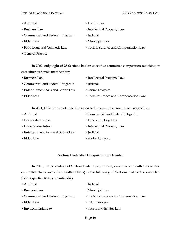- 
- 
- Commercial and Federal Litigation Judicial
- 
- 
- General Practice
- Antitrust Health Law
- Business Law Intellectual Property Law
	-
- Elder Law Municipal Law
- Food Drug and Cosmetic Law Torts Insurance and Compensation Law

In 2009, only eight of 25 Sections had an executive committee composition matching or exceeding its female membership:

- 
- Commercial and Federal Litigation Judicial
- Entertainment Arts and Sports Law Senior Lawyers
- 
- Business Law Intellectual Property Law
	-
	-
- Elder Law Torts Insurance and Compensation Law

In 2011, 10 Sections had matching or exceeding executive committee composition:

- Antitrust Commercial and Federal Litigation • Corporate Counsel • Food and Drug Law • Dispute Resolution • Intellectual Property Law • Entertainment Arts and Sports Law • Judicial
- Elder Law Senior Lawyers
- 

#### **Section Leadership Composition by Gender**

In 2005, the percentage of Section leaders (i.e., officers, executive committee members, committee chairs and subcommittee chairs) in the following 10 Sections matched or exceeded their respective female membership:

| • Antitrust                         | • Judicial                             |
|-------------------------------------|----------------------------------------|
| • Business Law                      | • Municipal Law                        |
| • Commercial and Federal Litigation | • Torts Insurance and Compensation Law |
| $\bullet$ Elder Law                 | • Trial Lawyers                        |
| • Environmental Law                 | • Trusts and Estates Law               |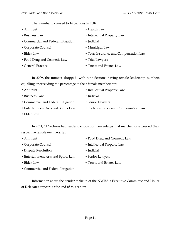That number increased to 14 Sections in 2007:

- Antitrust Health Law
- 
- Commercial and Federal Litigation Judicial
- Corporate Counsel Municipal Law
- 
- Food Drug and Cosmetic Law Trial Lawyers
- 
- 
- Business Law Intellectual Property Law
	-
	-
- Elder Law Torts Insurance and Compensation Law
	-
- General Practice Trusts and Estates Law

In 2009, the number dropped, with nine Sections having female leadership numbers equalling or exceeding the percentage of their female membership:

- 
- Business Law Judicial
- Commercial and Federal Litigation Senior Lawyers
- 
- Antitrust Intellectual Property Law
	-
	-
- Entertainment Arts and Sports Law Torts Insurance and Compensation Law
- Elder Law

In 2011, 11 Sections had leader composition percentages that matched or exceeded their respective female membership:

- Antitrust Food Drug and Cosmetic Law
- Corporate Counsel Intellectual Property Law
- Dispute Resolution Judicial
	-
- Entertainment Arts and Sports Law Senior Lawyers
- 
- Elder Law Trusts and Estates Law
- Commercial and Federal Litigation

Information about the gender makeup of the NYSBA's Executive Committee and House of Delegates appears at the end of this report.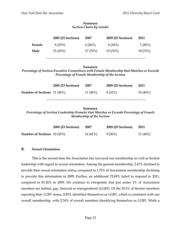|        | 2005 (23 Sections) | 2007    | 2009 (25 Sections) | 2011     |
|--------|--------------------|---------|--------------------|----------|
| Female | 8 (35%)            | 6(26%)  | 6(24%)             | 7(28%)   |
| Male   | 15(65%)            | 17(74%) | 19 (76%)           | 18 (72%) |

\_\_\_\_\_\_\_\_\_\_\_\_\_\_\_\_\_\_\_\_\_\_\_\_\_\_\_\_\_\_\_\_\_\_\_\_\_\_\_\_\_\_\_\_\_\_\_\_\_\_\_\_\_\_\_\_\_\_\_\_\_

#### **Summary**  *Section Chairs by Gender*

#### **Summary**

*Percentage of Section Executive Committees with Female Membership that Matches or Exceeds Percentage of Female Membership of the Section* 

|                                    | 2005 (23 Sections) | 2007       | 2009 (25 Sections) | 2011       |
|------------------------------------|--------------------|------------|--------------------|------------|
| <b>Number of Sections</b> 11 (48%) |                    | 11 $(48%)$ | 8 (32%)            | $10(40\%)$ |

#### **Summary**  *Percentage of Section Leadership (Female) that Matches or Exceeds Percentage of Female Membership of the Section*

|                                     | <b>2005 (23 Sections)</b> | 2007     | 2009 (25 Sections) | - 2011   |
|-------------------------------------|---------------------------|----------|--------------------|----------|
| <b>Number of Sections</b> $10(43%)$ |                           | 14 (61%) | 9 (36%)            | 11 (44%) |

#### **B. Sexual Orientation**

 This is the second time the Association has surveyed our membership as well as Section leadership with regard to sexual orientation. Among the general membership, 2.47% declined to provide their sexual orientation status, compared to 1.75% of Association membership declining to provide this information in 2009. Further, an additional 73.49% failed to respond in 2011, compared to 81.30% in 2009. We continue to extrapolate that just under 3% of Association members are lesbian, gay, bisexual or transgendered (LGBT). Of the 30.5% of Section members reporting their LGBT status, 2.85% identified themselves as LGBT, which is consistent with our overall membership, with 2.76% of overall members identifying themselves as LGBT. While a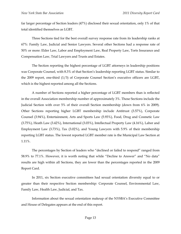far larger percentage of Section leaders (47%) disclosed their sexual orientation, only 1% of that total identified themselves as LGBT.

 Three Sections tied for the best overall survey response rate from its leadership ranks at 67%: Family Law, Judicial and Senior Lawyers. Several other Sections had a response rate of 50% or more: Elder Law, Labor and Employment Law, Real Property Law, Torts Insurance and Compensation Law, Trial Lawyers and Trusts and Estates.

The Section reporting the highest percentage of LGBT attorneys in leadership positions was Corporate Counsel, with 8.3% of that Section's leadership reporting LGBT status. Similar to the 2009 report, one-third (1/3) of Corporate Counsel Section's executive officers are LGBT, which is the highest reported among all the Sections.

A number of Sections reported a higher percentage of LGBT members than is reflected in the overall Association membership number of approximately 3%. Those Sections include the Judicial Section with over 5% of their overall Section membership (down from 6% in 2009). Other Sections reporting higher LGBT membership include Antitrust (3.57%), Corporate Counsel (3.94%), Entertainment, Arts and Sports Law (5.93%), Food, Drug and Cosmetic Law (3.75%), Heath Law (3.42%), International (3.03%), Intellectual Property Law (4.16%), Labor and Employment Law (3.73%), Tax (3.02%), and Young Lawyers with 5.9% of their membership reporting LGBT status. The lowest reported LGBT member rate is the Municipal Law Section at 1.11%.

The percentages by Section of leaders who "declined or failed to respond" ranged from 58.9% to 77.1%. However, it is worth noting that while "Decline to Answer" and "No data" results are high within all Sections, they are lower than the percentages reported in the 2009 Report Card.

In 2011, six Section executive committees had sexual orientation diversity equal to or greater than their respective Section membership: Corporate Counsel, Environmental Law, Family Law, Health Law, Judicial, and Tax.

Information about the sexual orientation makeup of the NYSBA's Executive Committee and House of Delegates appears at the end of this report.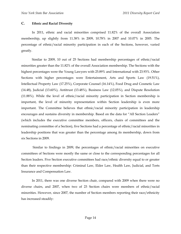#### **C. Ethnic and Racial Diversity**

 In 2011, ethnic and racial minorities comprised 11.82% of the overall Association membership, up slightly from 11.38% in 2009, 10.78% in 2007 and 10.07% in 2005. The percentage of ethnic/racial minority participation in each of the Sections, however, varied greatly.

 Similar to 2009, 10 out of 25 Sections had membership percentages of ethnic/racial minorities greater than the 11.82% of the overall Association membership. The Sections with the highest percentages were the Young Lawyers with 25.89% and International with 23.93%. Other Sections with higher percentages were Entertainment, Arts and Sports Law (19.51%), Intellectual Property Law (17.25%), Corporate Counsel (16.14%), Food Drug and Cosmetic Law (14.48), Judicial (13.60%), Antitrust (13.48%), Business Law (12.05%), and Dispute Resolution (11.88%). While the level of ethnic/racial minority participation in Section membership is important, the level of minority representation within Section leadership is even more important. The Committee believes that ethnic/racial minority participation in leadership encourages and sustains diversity in membership. Based on the data for "All Section Leaders" (which includes the executive committee members, officers, chairs of committees and the nominating committee of a Section), five Sections had a percentage of ethnic/racial minorities in leadership positions that was greater than the percentage among its membership, down from six Sections in 2009.

 Similar to findings in 2009, the percentages of ethnic/racial minorities on executive committees of Sections were mostly the same or close to the corresponding percentages for all Section leaders. Five Section executive committees had race/ethnic diversity equal to or greater than their respective membership: Criminal Law, Elder Law, Health Law, Judicial, and Torts Insurance and Compensation Law.

 In 2011, there was one diverse Section chair, compared with 2009 when there were no diverse chairs, and 2007, when two of 23 Section chairs were members of ethnic/racial minorities. However, since 2007, the number of Section members reporting their race/ethnicity has increased steadily: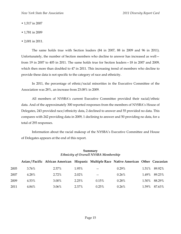- 1,517 in 2007
- 1,781 in 2009
- 2,001 in 2011.

The same holds true with Section leaders (84 in 2007, 88 in 2009 and 96 in 2011). Unfortunately, the number of Section members who decline to answer has increased as well from 19 in 2007 to 405 in 2011. The same holds true for Section leaders—18 in 2007 and 2009, which then more than doubled to 47 in 2011. This increasing trend of members who decline to provide these data is not specific to the category of race and ethnicity.

In 2011, the percentage of ethnic/racial minorities in the Executive Committee of the Association was 28%, an increase from 23.08% in 2009.

All members of NYSBA's current Executive Committee provided their racial/ethnic data. And of the approximately 300 reported responses from the members of NYSBA's House of Delegates, 243 provided race/ethnicity data, 2 declined to answer and 55 provided no data. This compares with 242 providing data in 2009, 1 declining to answer and 50 providing no data, for a total of 293 responses.

Information about the racial makeup of the NYSBA's Executive Committee and House of Delegates appears at the end of this report.

#### **Summary**  *Ethnicity of Overall NYSBA Membership*

|      |       | Asian/Pacific African American Hispanic Multiple Race Native American Other Caucasian |          |                                       |          |       |              |
|------|-------|---------------------------------------------------------------------------------------|----------|---------------------------------------|----------|-------|--------------|
| 2005 | 3.76% | 2.57%                                                                                 | 1.95%    | $\hspace{0.05cm}$ – $\hspace{0.05cm}$ | $0.29\%$ |       | 1.51% 89.92% |
| 2007 | 4.28% | 2.72%                                                                                 | $2.02\%$ | $\hspace{0.05cm}$ – $\hspace{0.05cm}$ | $0.26\%$ | 1.49% | 89.23%       |
| 2009 | 4.53% | 3.00%                                                                                 | 2.25%    | 0.15%                                 | 0.28%    | 1.50% | 88.29%       |
| 2011 | 4.84% | 3.06%                                                                                 | 2.37%    | $0.25\%$                              | $0.26\%$ | 1.59% | 87.63%       |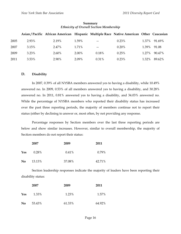|      |       | Asian/Pacific African American Hispanic Multiple Race Native American Other Caucasian |       |                          |          |       |        |
|------|-------|---------------------------------------------------------------------------------------|-------|--------------------------|----------|-------|--------|
| 2005 | 2.93% | 2.19%                                                                                 | 1.59% | $- -$                    | 0.23%    | 1.37% | 91.69% |
| 2007 | 3.15% | 2.47%                                                                                 | 1.71% | $\overline{\phantom{m}}$ | 0.20%    | 1.39% | 91.08  |
| 2009 | 3.23% | $2.60\%$                                                                              | 2.00% | 0.18%                    | 0.25%    | 1.27% | 90.47% |
| 2011 | 3.53% | 2.90%                                                                                 | 2.09% | $0.31\%$                 | $0.23\%$ | 1.32% | 89.62% |

#### **Summary**  *Ethnicity of Overall Section Membership*

#### **D. Disability**

 In 2007, 0.39% of all NYSBA members answered yes to having a disability, while 10.49% answered no. In 2009, 0.53% of all members answered yes to having a disability, and 30.28% answered no. In 2011, 0.81% answered yes to having a disability, and 34.03% answered no. While the percentage of NYSBA members who reported their disability status has increased over the past three reporting periods, the majority of members continue not to report their status (either by declining to answer or, most often, by not providing any response.

Percentage responses by Section members over the last three reporting periods are below and show similar increases. However, similar to overall membership, the majority of Section members do not report their status:

|            | 2007     | 2009   | 2011     |
|------------|----------|--------|----------|
| <b>Yes</b> | $0.28\%$ | 0.41%  | $0.79\%$ |
| No         | 13.13%   | 37.08% | 42.71%   |

Section leadership responses indicate the majority of leaders have been reporting their disability status:

|                | 2007   | 2009   | 2011   |
|----------------|--------|--------|--------|
| Yes            | 1.33%  | 1.23%  | 1.57%  |
| N <sub>0</sub> | 53.43% | 61.33% | 64.92% |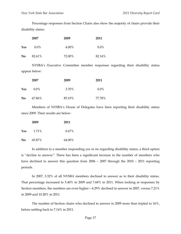Percentage responses from Section Chairs also show the majority of chairs provide their disability status:

|                | 2007    | 2009   | 2011    |
|----------------|---------|--------|---------|
| Yes            | $0.0\%$ | 4.00%  | $0.0\%$ |
| N <sub>0</sub> | 82.61%  | 72.00% | 82.14%  |

NYSBA's Executive Committee member responses regarding their disability status appear below:

|     | 2007    | 2009   | 2011    |
|-----|---------|--------|---------|
| Yes | $0.0\%$ | 3.70%  | $0.0\%$ |
| No  | 67.86%  | 85.19% | 77.78%  |

Members of NYSBA's House of Delegates have been reporting their disability status since 2009. Their results are below:

| 2009 |        | 2011     |
|------|--------|----------|
| Yes  | 1.71%  | $0.67\%$ |
| No   | 65.87% | 64.00%   |

In addition to a member responding yes or no regarding disability status, a third option is "decline to answer." There has been a significant increase in the number of members who have declined to answer this question from 2006 – 2007 through the 2010 – 2011 reporting periods.

In 2007, 3.32% of all NYSBA members declined to answer as to their disability status. That percentage increased to 5.40% in 2009 and 7.68% in 2011. When looking at responses by Section members, the numbers are even higher—4.29% declined to answer in 2007, versus 7.21% in 2009 and 10.28% in 2011.

The number of Section chairs who declined to answer in 2009 more than tripled to 16%, before settling back to 7.14% in 2011.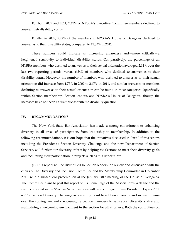For both 2009 and 2011, 7.41% of NYSBA's Executive Committee members declined to answer their disability status.

Finally, in 2009, 9.22% of the members in NYSBA's House of Delegates declined to answer as to their disability status, compared to 11.33% in 2011.

These numbers could indicate an increasing awareness and—more critically—a heightened sensitivity to individual disability status. Comparatively, the percentage of all NYSBA members who declined to answer as to their sexual orientation averaged 2.11% over the last two reporting periods, versus 6.54% of members who declined to answer as to their disability status. However, the number of members who declined to answer as to their sexual orientation did increase from 1.75% in 2009 to 2.47% in 2011, and similar increases of members declining to answer as to their sexual orientation can be found in most categories (specifically within Section membership, Section leaders, and NYSBA's House of Delegates) though the increases have not been as dramatic as with the disability question.

#### **IV. RECOMMENDATIONS**

 The New York State Bar Association has made a strong commitment to enhancing diversity in all areas of participation, from leadership to membership. In addition to the following recommendations, it is our hope that the initiatives discussed in Part I of this report, including the President's Section Diversity Challenge and the new Department of Section Services, will further our diversity efforts by helping the Sections to meet their diversity goals and facilitating their participation in projects such as this Report Card.

 (1) This report will be distributed to Section leaders for review and discussion with the chairs of the Diversity and Inclusion Committee and the Membership Committee in December 2011, with a subsequent presentation at the January 2012 meeting of the House of Delegates. The Committee plans to post this report on its Home Page of the Association's Web site and the results reported in the *State Bar News*. Sections will be encouraged to use President Doyle's 2011 – 2012 Section Diversity Challenge as a starting point to address diversity and inclusion issue over the coming years—by encouraging Section members to self-report diversity status and maintaining a welcoming environment in the Section for all attorneys. Both the committees on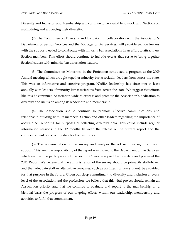Diversity and Inclusion and Membership will continue to be available to work with Sections on maintaining and enhancing their diversity.

 (2) The Committee on Diversity and Inclusion, in collaboration with the Association's Department of Section Services and the Manager of Bar Services, will provide Section leaders with the support needed to collaborate with minority bar associations in an effort to attract new Section members. This effort should continue to include events that serve to bring together Section leaders with minority bar association leaders.

 (3) The Committee on Minorities in the Profession conducted a program at the 2009 Annual meeting which brought together minority bar association leaders from across the state. This was an informative and effective program. NYSBA leadership has since met at least annually with leaders of minority bar associations from across the state. We suggest that efforts like this be continued Association-wide to express and promote the Association's dedication to diversity and inclusion among its leadership and membership.

(4) The Association should continue to promote effective communications and relationship building with its members, Section and other leaders regarding the importance of accurate self-reporting for purposes of collecting diversity data. This could include regular information sessions in the 12 months between the release of the current report and the commencement of collecting data for the next report.

 (5) The administration of the survey and analysis thereof requires significant staff support. This year the responsibility of the report was moved to the Department of Bar Services, which secured the participation of the Section Chairs, analyzed the raw data and prepared the 2011 Report. We believe that the administration of the survey should be primarily staff-driven and that adequate staff or alternative resources, such as an intern or law student, be provided for that purpose in the future. Given our deep commitment to diversity and inclusion at every level of the Association and the profession, we believe that this vital project should remain an Association priority and that we continue to evaluate and report to the membership on a biennial basis the progress of our ongoing efforts within our leadership, membership and activities to fulfill that commitment.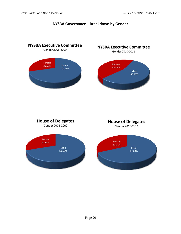

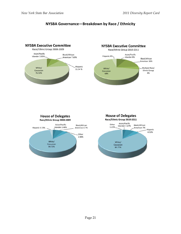### **NYSBA Governance—Breakdown by Race / Ethnicity**

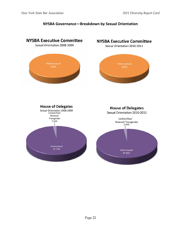### **NYSBA Governance—Breakdown by Sexual Orientation**

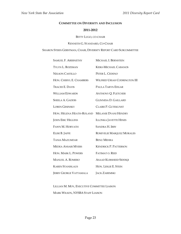#### **COMMITTEE ON DIVERSITY AND INCLUSION**

#### **2011-2012**

#### BETTY LUGO, CO-CHAIR

#### KENNETH G. STANDARD, CO-CHAIR

SHARON STERN GERSTMAN, CHAIR, DIVERSITY REPORT CARD SUBCOMMITTEE

| <b>SAMUEL F. ABERNETHY</b>    | MICHAEL I. BERNSTEIN                |
|-------------------------------|-------------------------------------|
| TYLYN L. BOZEMAN              | <b>KEIKI-MICHAEL CABANOS</b>        |
| <b>NELSON CASTILLO</b>        | PETER L. CEDENO                     |
| HON. CHERYL E. CHAMBERS       | <b>WILFRED URIAH CODRINGTON III</b> |
| <b>TRACEE E. DAVIS</b>        | PAULA TARYN EDGAR                   |
| <b>WILLIAM EDWARDS</b>        | <b>ANTHONY Q. FLETCHER</b>          |
| <b>SHEILA A. GADDIS</b>       | <b>GLINNESA D. GAILLARD</b>         |
| <b>LOREN GESINSKY</b>         | <b>CLAIRE P. GUTEKUNST</b>          |
| HON. HELENA HEATH-ROLAND      | <b>MELANIE DYANI HENDRY</b>         |
| <b>JOHN ERIC HIGGINS</b>      | <b>ILLONKA JAVETTE HINES</b>        |
| <b>FAWN M. HORVATH</b>        | <b>SANDRA H. IRBY</b>               |
| ELISE B. JAFFE                | ROSEVELIE MARQUEZ MORALES           |
| <b>TANIA MAZUMDAR</b>         | <b>BENU MEHRA</b>                   |
| <b>MEDEA ANSARI MYERS</b>     | <b>KENDRICK P. PATTERSON</b>        |
| HON. MARK L. POWERS           | FATIMAT O. REID                     |
| <b>MANUEL A. ROMERO</b>       | <b>ASAAD KURSHEED SIDDIQI</b>       |
| <b>KAREN STANISLAUS</b>       | HON. LESLIE E. STEIN                |
| <b>JERRY GEORGE VATTAMALA</b> | <b>JACK ZAREMSKI</b>                |

LILLIAN M. MOY, EXECUTIVE COMMITTEE LIAISON

MARK WILSON, NYSBA STAFF LIAISON